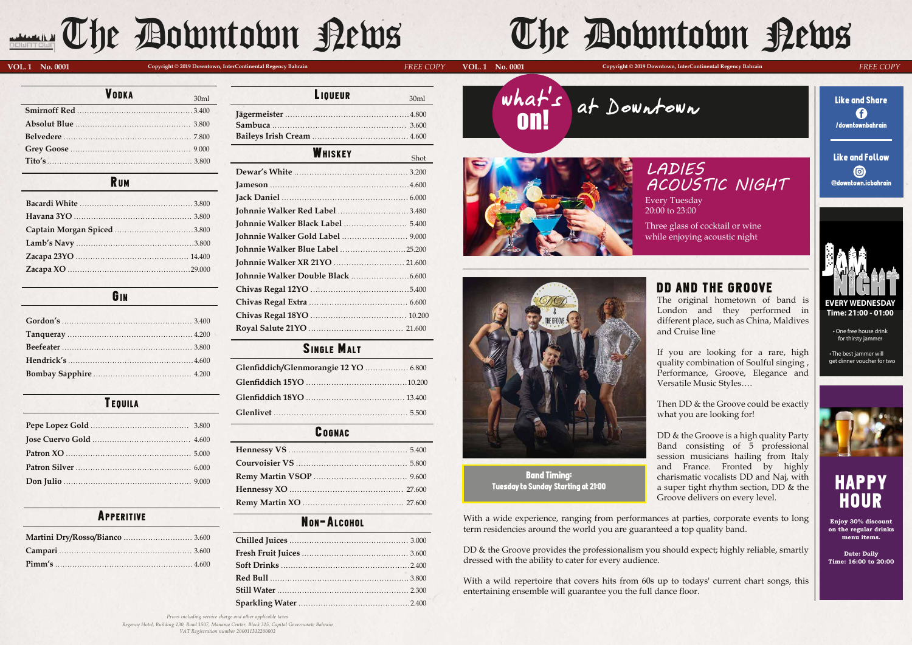# DD AND THE GROOVE

The original hometown of band is London and they performed in different place, such as China, Maldives and Cruise line

Then DD & the Groove could be exactly what you are looking for!

If you are looking for a rare, high quality combination of Soulful singing , Performance, Groove, Elegance and Versatile Music Styles….

DD & the Groove provides the professionalism you should expect; highly reliable, smartly dressed with the ability to cater for every audience.

DD & the Groove is a high quality Party Band consisting of 5 professional session musicians hailing from Italy and France. Fronted by highly charismatic vocalists DD and Naj, with a super tight rhythm section, DD & the Groove delivers on every level.

With a wide experience, ranging from performances at parties, corporate events to long term residencies around the world you are guaranteed a top quality band.

With a wild repertoire that covers hits from 60s up to todays' current chart songs, this entertaining ensemble will guarantee you the full dance floor.

# GIN

# **TEQUILA**

Like and Follo<mark>w</mark>  $\bigcirc$ @downtown.icbahrain

# **HAPPY** HOUR

| <b>VODKA</b> | 30ml |
|--------------|------|
|              |      |
|              |      |
|              |      |
|              |      |
|              |      |

### **RUM**

Every Tuesday 20:00 to 23:00  $\overline{a}$ 

| <b>Johnnie Walker Red Label 3.480</b>   |  |
|-----------------------------------------|--|
| Johnnie Walker Black Label  5.400       |  |
|                                         |  |
| <b>Johnnie Walker Blue Label 25.200</b> |  |
| Johnnie Walker XR 21YO  21.600          |  |
|                                         |  |
|                                         |  |
|                                         |  |
|                                         |  |
|                                         |  |
|                                         |  |

| 30ml  | LIUULUR | 30ml |
|-------|---------|------|
| 3.400 |         |      |
| 3.800 |         |      |
| 7.800 |         |      |

**LIQUEUP** 

# **WHISKEY**

# SINGLE MALT

| Glenfiddich/Glenmorangie 12 YO  6.800 |  |
|---------------------------------------|--|
|                                       |  |
|                                       |  |
|                                       |  |

### **COGNAC**

**Enjoy 30% discount on the regular drinks menu items.** 

**Date: Daily Time: 16:00 to 20:00**



Band Timing: Tuesday to Sunday Starting at 21:00

# APPERITIVE NON-ALCOHOL

what's on! at Downtown





Three glass of cocktail or wine while enjoying acoustic night

# **VOL. 1 No. 0001 UD. 20001 Copyright © 2019 Downtown, InterContinental Regency Bahrain**

Shot

*VAT Registration number 200011312200002*

# The Downtown Rews

**VOL. 1 No. 0001** Copyright © 2019 Downtown, InterContinental Regency Bahrain **DECE COPY** 

# *LADIES ACOUSTIC NIGHT*



**Time: 21:00 - 01:00**

• One free house drink for thirsty jammer

• The best jammer will get dinner voucher for two